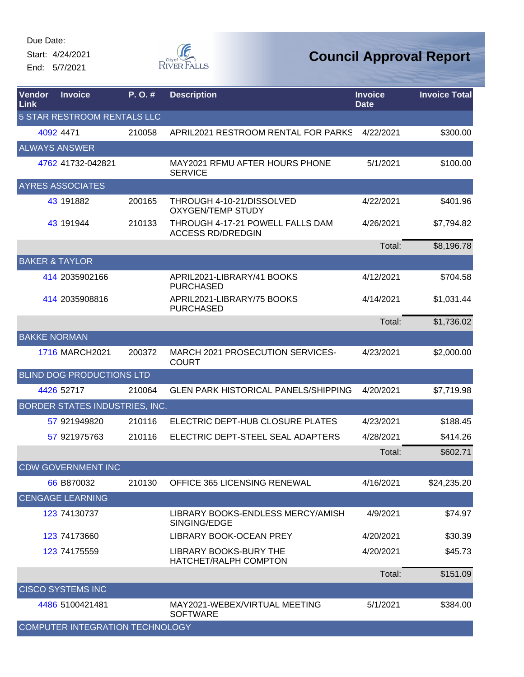Start: 4/24/2021 End: 5/7/2021



| Vendor<br>Link              | <b>Invoice</b>                   | P. O. # | <b>Description</b>                                           | <b>Invoice</b><br><b>Date</b> | <b>Invoice Total</b> |  |  |
|-----------------------------|----------------------------------|---------|--------------------------------------------------------------|-------------------------------|----------------------|--|--|
| 5 STAR RESTROOM RENTALS LLC |                                  |         |                                                              |                               |                      |  |  |
|                             | 4092 4471                        | 210058  | APRIL2021 RESTROOM RENTAL FOR PARKS                          | 4/22/2021                     | \$300.00             |  |  |
|                             | <b>ALWAYS ANSWER</b>             |         |                                                              |                               |                      |  |  |
|                             | 4762 41732-042821                |         | MAY2021 RFMU AFTER HOURS PHONE<br><b>SERVICE</b>             | 5/1/2021                      | \$100.00             |  |  |
|                             | <b>AYRES ASSOCIATES</b>          |         |                                                              |                               |                      |  |  |
|                             | 43 191882                        | 200165  | THROUGH 4-10-21/DISSOLVED<br><b>OXYGEN/TEMP STUDY</b>        | 4/22/2021                     | \$401.96             |  |  |
|                             | 43 191944                        | 210133  | THROUGH 4-17-21 POWELL FALLS DAM<br><b>ACCESS RD/DREDGIN</b> | 4/26/2021                     | \$7,794.82           |  |  |
|                             |                                  |         |                                                              | Total:                        | \$8,196.78           |  |  |
| <b>BAKER &amp; TAYLOR</b>   |                                  |         |                                                              |                               |                      |  |  |
|                             | 414 2035902166                   |         | APRIL2021-LIBRARY/41 BOOKS<br><b>PURCHASED</b>               | 4/12/2021                     | \$704.58             |  |  |
|                             | 414 2035908816                   |         | APRIL2021-LIBRARY/75 BOOKS<br><b>PURCHASED</b>               | 4/14/2021                     | \$1,031.44           |  |  |
|                             |                                  |         |                                                              | Total:                        | \$1,736.02           |  |  |
| <b>BAKKE NORMAN</b>         |                                  |         |                                                              |                               |                      |  |  |
|                             | 1716 MARCH2021                   | 200372  | MARCH 2021 PROSECUTION SERVICES-<br><b>COURT</b>             | 4/23/2021                     | \$2,000.00           |  |  |
|                             | <b>BLIND DOG PRODUCTIONS LTD</b> |         |                                                              |                               |                      |  |  |
|                             | 4426 52717                       | 210064  | GLEN PARK HISTORICAL PANELS/SHIPPING                         | 4/20/2021                     | \$7,719.98           |  |  |
|                             | BORDER STATES INDUSTRIES, INC.   |         |                                                              |                               |                      |  |  |
|                             | 57 921949820                     | 210116  | ELECTRIC DEPT-HUB CLOSURE PLATES                             | 4/23/2021                     | \$188.45             |  |  |
|                             | 57 921975763                     | 210116  | ELECTRIC DEPT-STEEL SEAL ADAPTERS                            | 4/28/2021                     | \$414.26             |  |  |
|                             |                                  |         |                                                              | Total:                        | \$602.71             |  |  |
|                             | <b>CDW GOVERNMENT INC</b>        |         |                                                              |                               |                      |  |  |
|                             | 66 B870032                       | 210130  | <b>OFFICE 365 LICENSING RENEWAL</b>                          | 4/16/2021                     | \$24,235.20          |  |  |
|                             | <b>CENGAGE LEARNING</b>          |         |                                                              |                               |                      |  |  |
|                             | 123 74130737                     |         | LIBRARY BOOKS-ENDLESS MERCY/AMISH<br>SINGING/EDGE            | 4/9/2021                      | \$74.97              |  |  |
|                             | 123 74173660                     |         | <b>LIBRARY BOOK-OCEAN PREY</b>                               | 4/20/2021                     | \$30.39              |  |  |
|                             | 123 74175559                     |         | <b>LIBRARY BOOKS-BURY THE</b><br>HATCHET/RALPH COMPTON       | 4/20/2021                     | \$45.73              |  |  |
|                             |                                  |         |                                                              | Total:                        | \$151.09             |  |  |
|                             | <b>CISCO SYSTEMS INC</b>         |         |                                                              |                               |                      |  |  |
|                             | 4486 5100421481                  |         | MAY2021-WEBEX/VIRTUAL MEETING<br><b>SOFTWARE</b>             | 5/1/2021                      | \$384.00             |  |  |
|                             | COMPUTER INTEGRATION TECHNOLOGY  |         |                                                              |                               |                      |  |  |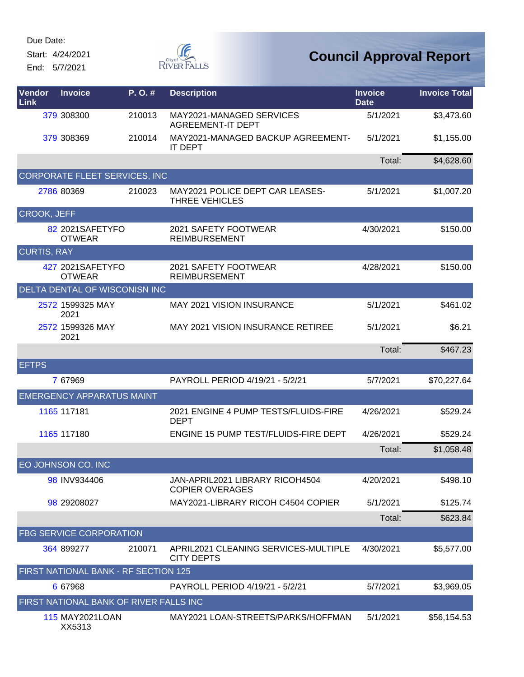Start: 4/24/2021 End: 5/7/2021



| Vendor<br>Link     | <b>Invoice</b>                         | P.O.#  | <b>Description</b>                                        | <b>Invoice</b><br><b>Date</b> | <b>Invoice Total</b> |
|--------------------|----------------------------------------|--------|-----------------------------------------------------------|-------------------------------|----------------------|
|                    | 379 308300                             | 210013 | MAY2021-MANAGED SERVICES<br><b>AGREEMENT-IT DEPT</b>      | 5/1/2021                      | \$3,473.60           |
|                    | 379 308369                             | 210014 | MAY2021-MANAGED BACKUP AGREEMENT-<br>IT DEPT              | 5/1/2021                      | \$1,155.00           |
|                    |                                        |        |                                                           | Total:                        | \$4,628.60           |
|                    | CORPORATE FLEET SERVICES, INC          |        |                                                           |                               |                      |
|                    | 2786 80369                             | 210023 | MAY2021 POLICE DEPT CAR LEASES-<br>THREE VEHICLES         | 5/1/2021                      | \$1,007.20           |
| <b>CROOK, JEFF</b> |                                        |        |                                                           |                               |                      |
|                    | 82 2021 SAFETYFO<br><b>OTWEAR</b>      |        | 2021 SAFETY FOOTWEAR<br><b>REIMBURSEMENT</b>              | 4/30/2021                     | \$150.00             |
| <b>CURTIS, RAY</b> |                                        |        |                                                           |                               |                      |
|                    | 427 2021SAFETYFO<br><b>OTWEAR</b>      |        | 2021 SAFETY FOOTWEAR<br><b>REIMBURSEMENT</b>              | 4/28/2021                     | \$150.00             |
|                    | DELTA DENTAL OF WISCONISN INC          |        |                                                           |                               |                      |
|                    | 2572 1599325 MAY<br>2021               |        | <b>MAY 2021 VISION INSURANCE</b>                          | 5/1/2021                      | \$461.02             |
|                    | 2572 1599326 MAY<br>2021               |        | <b>MAY 2021 VISION INSURANCE RETIREE</b>                  | 5/1/2021                      | \$6.21               |
|                    |                                        |        |                                                           | Total:                        | \$467.23             |
| <b>EFTPS</b>       |                                        |        |                                                           |                               |                      |
|                    | 7 67969                                |        | PAYROLL PERIOD 4/19/21 - 5/2/21                           | 5/7/2021                      | \$70,227.64          |
|                    | <b>EMERGENCY APPARATUS MAINT</b>       |        |                                                           |                               |                      |
|                    | 1165 117181                            |        | 2021 ENGINE 4 PUMP TESTS/FLUIDS-FIRE<br><b>DEPT</b>       | 4/26/2021                     | \$529.24             |
|                    | 1165 117180                            |        | ENGINE 15 PUMP TEST/FLUIDS-FIRE DEPT                      | 4/26/2021                     | \$529.24             |
|                    |                                        |        |                                                           | Total:                        | \$1,058.48           |
|                    | EO JOHNSON CO. INC                     |        |                                                           |                               |                      |
|                    | 98 INV934406                           |        | JAN-APRIL2021 LIBRARY RICOH4504<br><b>COPIER OVERAGES</b> | 4/20/2021                     | \$498.10             |
|                    | 98 29208027                            |        | MAY2021-LIBRARY RICOH C4504 COPIER                        | 5/1/2021                      | \$125.74             |
|                    |                                        |        |                                                           | Total:                        | \$623.84             |
|                    | <b>FBG SERVICE CORPORATION</b>         |        |                                                           |                               |                      |
|                    | 364 899277                             | 210071 | APRIL2021 CLEANING SERVICES-MULTIPLE<br><b>CITY DEPTS</b> | 4/30/2021                     | \$5,577.00           |
|                    | FIRST NATIONAL BANK - RF SECTION 125   |        |                                                           |                               |                      |
|                    | 6 67968                                |        | PAYROLL PERIOD 4/19/21 - 5/2/21                           | 5/7/2021                      | \$3,969.05           |
|                    | FIRST NATIONAL BANK OF RIVER FALLS INC |        |                                                           |                               |                      |
|                    | 115 MAY2021LOAN<br>XX5313              |        | MAY2021 LOAN-STREETS/PARKS/HOFFMAN                        | 5/1/2021                      | \$56,154.53          |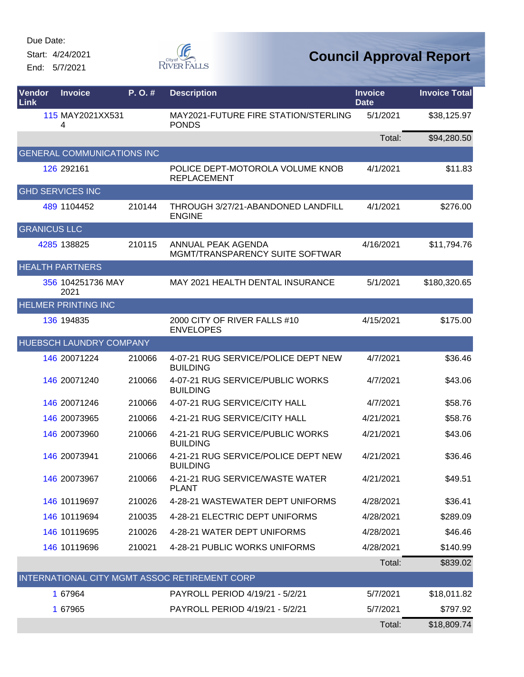Start: 4/24/2021 End: 5/7/2021



| Vendor<br>Link      | <b>Invoice</b>                    | P.O.#  | <b>Description</b>                                     | <b>Invoice</b><br><b>Date</b> | <b>Invoice Total</b> |
|---------------------|-----------------------------------|--------|--------------------------------------------------------|-------------------------------|----------------------|
|                     | 115 MAY2021XX531<br>4             |        | MAY2021-FUTURE FIRE STATION/STERLING<br><b>PONDS</b>   | 5/1/2021                      | \$38,125.97          |
|                     |                                   |        |                                                        | Total:                        | \$94,280.50          |
|                     | <b>GENERAL COMMUNICATIONS INC</b> |        |                                                        |                               |                      |
|                     | 126 292161                        |        | POLICE DEPT-MOTOROLA VOLUME KNOB<br><b>REPLACEMENT</b> | 4/1/2021                      | \$11.83              |
|                     | <b>GHD SERVICES INC</b>           |        |                                                        |                               |                      |
|                     | 489 1104452                       | 210144 | THROUGH 3/27/21-ABANDONED LANDFILL<br><b>ENGINE</b>    | 4/1/2021                      | \$276.00             |
| <b>GRANICUS LLC</b> |                                   |        |                                                        |                               |                      |
|                     | 4285 138825                       | 210115 | ANNUAL PEAK AGENDA<br>MGMT/TRANSPARENCY SUITE SOFTWAR  | 4/16/2021                     | \$11,794.76          |
|                     | <b>HEALTH PARTNERS</b>            |        |                                                        |                               |                      |
|                     | 356 104251736 MAY<br>2021         |        | MAY 2021 HEALTH DENTAL INSURANCE                       | 5/1/2021                      | \$180,320.65         |
|                     | <b>HELMER PRINTING INC</b>        |        |                                                        |                               |                      |
|                     | 136 194835                        |        | 2000 CITY OF RIVER FALLS #10<br><b>ENVELOPES</b>       | 4/15/2021                     | \$175.00             |
|                     | HUEBSCH LAUNDRY COMPANY           |        |                                                        |                               |                      |
|                     | 146 20071224                      | 210066 | 4-07-21 RUG SERVICE/POLICE DEPT NEW<br><b>BUILDING</b> | 4/7/2021                      | \$36.46              |
|                     | 146 20071240                      | 210066 | 4-07-21 RUG SERVICE/PUBLIC WORKS<br><b>BUILDING</b>    | 4/7/2021                      | \$43.06              |
|                     | 146 20071246                      | 210066 | 4-07-21 RUG SERVICE/CITY HALL                          | 4/7/2021                      | \$58.76              |
|                     | 146 20073965                      | 210066 | 4-21-21 RUG SERVICE/CITY HALL                          | 4/21/2021                     | \$58.76              |
|                     | 146 20073960                      | 210066 | 4-21-21 RUG SERVICE/PUBLIC WORKS<br><b>BUILDING</b>    | 4/21/2021                     | \$43.06              |
|                     | 146 20073941                      | 210066 | 4-21-21 RUG SERVICE/POLICE DEPT NEW<br><b>BUILDING</b> | 4/21/2021                     | \$36.46              |
|                     | 146 20073967                      | 210066 | 4-21-21 RUG SERVICE/WASTE WATER<br><b>PLANT</b>        | 4/21/2021                     | \$49.51              |
|                     | 146 10119697                      | 210026 | 4-28-21 WASTEWATER DEPT UNIFORMS                       | 4/28/2021                     | \$36.41              |
|                     | 146 10119694                      | 210035 | 4-28-21 ELECTRIC DEPT UNIFORMS                         | 4/28/2021                     | \$289.09             |
|                     | 146 10119695                      | 210026 | 4-28-21 WATER DEPT UNIFORMS                            | 4/28/2021                     | \$46.46              |
|                     | 146 10119696                      | 210021 | 4-28-21 PUBLIC WORKS UNIFORMS                          | 4/28/2021                     | \$140.99             |
|                     |                                   |        |                                                        | Total:                        | \$839.02             |
|                     |                                   |        | INTERNATIONAL CITY MGMT ASSOC RETIREMENT CORP          |                               |                      |
|                     | 1 67964                           |        | PAYROLL PERIOD 4/19/21 - 5/2/21                        | 5/7/2021                      | \$18,011.82          |
|                     | 1 67965                           |        | PAYROLL PERIOD 4/19/21 - 5/2/21                        | 5/7/2021                      | \$797.92             |
|                     |                                   |        |                                                        | Total:                        | \$18,809.74          |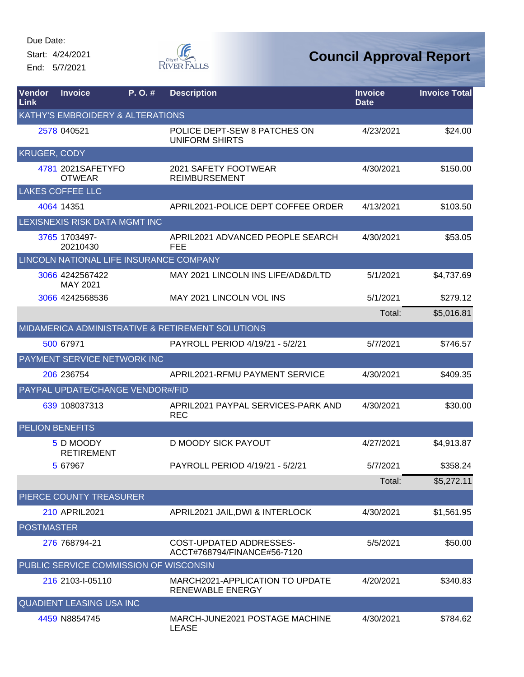Start: 4/24/2021 End: 5/7/2021



| Vendor<br><b>Link</b>  | <b>Invoice</b>                         | P. O. # | <b>Description</b>                                     | <b>Invoice</b><br><b>Date</b> | <b>Invoice Total</b> |
|------------------------|----------------------------------------|---------|--------------------------------------------------------|-------------------------------|----------------------|
|                        | KATHY'S EMBROIDERY & ALTERATIONS       |         |                                                        |                               |                      |
|                        | 2578 040521                            |         | POLICE DEPT-SEW 8 PATCHES ON<br><b>UNIFORM SHIRTS</b>  | 4/23/2021                     | \$24.00              |
| <b>KRUGER, CODY</b>    |                                        |         |                                                        |                               |                      |
|                        | 4781 2021 SAFETY FO<br><b>OTWEAR</b>   |         | 2021 SAFETY FOOTWEAR<br><b>REIMBURSEMENT</b>           | 4/30/2021                     | \$150.00             |
|                        | <b>LAKES COFFEE LLC</b>                |         |                                                        |                               |                      |
|                        | 4064 14351                             |         | APRIL2021-POLICE DEPT COFFEE ORDER                     | 4/13/2021                     | \$103.50             |
|                        | LEXISNEXIS RISK DATA MGMT INC          |         |                                                        |                               |                      |
|                        | 3765 1703497-<br>20210430              |         | APRIL2021 ADVANCED PEOPLE SEARCH<br><b>FEE</b>         | 4/30/2021                     | \$53.05              |
|                        |                                        |         | LINCOLN NATIONAL LIFE INSURANCE COMPANY                |                               |                      |
|                        | 3066 4242567422<br>MAY 2021            |         | MAY 2021 LINCOLN INS LIFE/AD&D/LTD                     | 5/1/2021                      | \$4,737.69           |
|                        | 3066 4242568536                        |         | MAY 2021 LINCOLN VOL INS                               | 5/1/2021                      | \$279.12             |
|                        |                                        |         |                                                        | Total:                        | \$5,016.81           |
|                        |                                        |         | MIDAMERICA ADMINISTRATIVE & RETIREMENT SOLUTIONS       |                               |                      |
|                        | 500 67971                              |         | PAYROLL PERIOD 4/19/21 - 5/2/21                        | 5/7/2021                      | \$746.57             |
|                        | PAYMENT SERVICE NETWORK INC            |         |                                                        |                               |                      |
|                        | 206 236754                             |         | APRIL2021-RFMU PAYMENT SERVICE                         | 4/30/2021                     | \$409.35             |
|                        | PAYPAL UPDATE/CHANGE VENDOR#/FID       |         |                                                        |                               |                      |
|                        | 639 108037313                          |         | APRIL2021 PAYPAL SERVICES-PARK AND<br><b>REC</b>       | 4/30/2021                     | \$30.00              |
| <b>PELION BENEFITS</b> |                                        |         |                                                        |                               |                      |
|                        | 5 D MOODY<br><b>RETIREMENT</b>         |         | <b>D MOODY SICK PAYOUT</b>                             | 4/27/2021                     | \$4,913.87           |
|                        | 5 67967                                |         | PAYROLL PERIOD 4/19/21 - 5/2/21                        | 5/7/2021                      | \$358.24             |
|                        |                                        |         |                                                        | Total:                        | \$5,272.11           |
|                        | PIERCE COUNTY TREASURER                |         |                                                        |                               |                      |
|                        | <b>210 APRIL2021</b>                   |         | APRIL2021 JAIL, DWI & INTERLOCK                        | 4/30/2021                     | \$1,561.95           |
| <b>POSTMASTER</b>      |                                        |         |                                                        |                               |                      |
|                        | 276 768794-21                          |         | COST-UPDATED ADDRESSES-<br>ACCT#768794/FINANCE#56-7120 | 5/5/2021                      | \$50.00              |
|                        | PUBLIC SERVICE COMMISSION OF WISCONSIN |         |                                                        |                               |                      |
|                        | 216 2103-1-05110                       |         | MARCH2021-APPLICATION TO UPDATE<br>RENEWABLE ENERGY    | 4/20/2021                     | \$340.83             |
|                        | <b>QUADIENT LEASING USA INC</b>        |         |                                                        |                               |                      |
|                        | 4459 N8854745                          |         | MARCH-JUNE2021 POSTAGE MACHINE<br><b>LEASE</b>         | 4/30/2021                     | \$784.62             |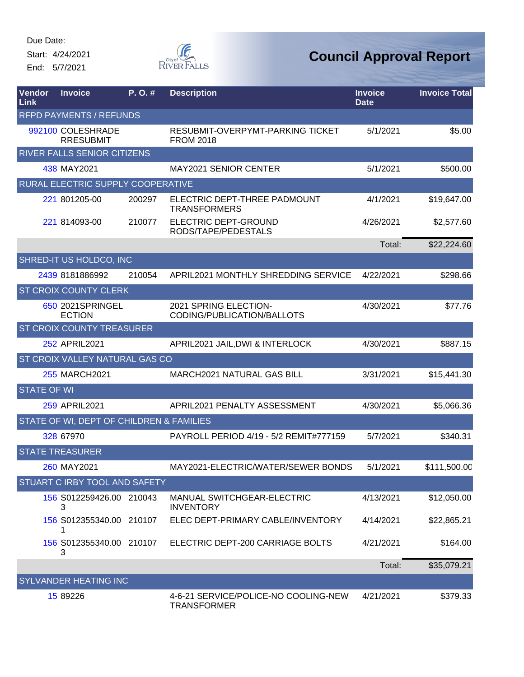Start: 4/24/2021 End: 5/7/2021



| Vendor<br>Link     | <b>Invoice</b>                           | P. O. # | <b>Description</b>                                         | <b>Invoice</b><br><b>Date</b> | <b>Invoice Total</b> |
|--------------------|------------------------------------------|---------|------------------------------------------------------------|-------------------------------|----------------------|
|                    | <b>RFPD PAYMENTS / REFUNDS</b>           |         |                                                            |                               |                      |
|                    | 992100 COLESHRADE<br><b>RRESUBMIT</b>    |         | RESUBMIT-OVERPYMT-PARKING TICKET<br><b>FROM 2018</b>       | 5/1/2021                      | \$5.00               |
|                    | RIVER FALLS SENIOR CITIZENS              |         |                                                            |                               |                      |
|                    | 438 MAY2021                              |         | <b>MAY2021 SENIOR CENTER</b>                               | 5/1/2021                      | \$500.00             |
|                    | RURAL ELECTRIC SUPPLY COOPERATIVE        |         |                                                            |                               |                      |
|                    | 221 801205-00                            | 200297  | ELECTRIC DEPT-THREE PADMOUNT<br><b>TRANSFORMERS</b>        | 4/1/2021                      | \$19,647.00          |
|                    | 221 814093-00                            | 210077  | ELECTRIC DEPT-GROUND<br>RODS/TAPE/PEDESTALS                | 4/26/2021                     | \$2,577.60           |
|                    |                                          |         |                                                            | Total:                        | \$22,224.60          |
|                    | SHRED-IT US HOLDCO, INC                  |         |                                                            |                               |                      |
|                    | 2439 8181886992                          | 210054  | <b>APRIL2021 MONTHLY SHREDDING SERVICE</b>                 | 4/22/2021                     | \$298.66             |
|                    | <b>ST CROIX COUNTY CLERK</b>             |         |                                                            |                               |                      |
|                    | 650 2021SPRINGEL<br><b>ECTION</b>        |         | 2021 SPRING ELECTION-<br>CODING/PUBLICATION/BALLOTS        | 4/30/2021                     | \$77.76              |
|                    | ST CROIX COUNTY TREASURER                |         |                                                            |                               |                      |
|                    | 252 APRIL2021                            |         | APRIL2021 JAIL, DWI & INTERLOCK                            | 4/30/2021                     | \$887.15             |
|                    | <b>ST CROIX VALLEY NATURAL GAS CO</b>    |         |                                                            |                               |                      |
|                    | 255 MARCH2021                            |         | <b>MARCH2021 NATURAL GAS BILL</b>                          | 3/31/2021                     | \$15,441.30          |
| <b>STATE OF WI</b> |                                          |         |                                                            |                               |                      |
|                    | 259 APRIL2021                            |         | APRIL2021 PENALTY ASSESSMENT                               | 4/30/2021                     | \$5,066.36           |
|                    | STATE OF WI, DEPT OF CHILDREN & FAMILIES |         |                                                            |                               |                      |
|                    | 328 67970                                |         | PAYROLL PERIOD 4/19 - 5/2 REMIT#777159                     | 5/7/2021                      | \$340.31             |
|                    | <b>STATE TREASURER</b>                   |         |                                                            |                               |                      |
|                    | 260 MAY2021                              |         | MAY2021-ELECTRIC/WATER/SEWER BONDS                         | 5/1/2021                      | \$111,500.00         |
|                    | <b>STUART C IRBY TOOL AND SAFETY</b>     |         |                                                            |                               |                      |
|                    | 156 S012259426.00 210043<br>3            |         | <b>MANUAL SWITCHGEAR-ELECTRIC</b><br><b>INVENTORY</b>      | 4/13/2021                     | \$12,050.00          |
|                    | 156 S012355340.00 210107<br>1            |         | ELEC DEPT-PRIMARY CABLE/INVENTORY                          | 4/14/2021                     | \$22,865.21          |
|                    | 156 S012355340.00 210107<br>3            |         | ELECTRIC DEPT-200 CARRIAGE BOLTS                           | 4/21/2021                     | \$164.00             |
|                    |                                          |         |                                                            | Total:                        | \$35,079.21          |
|                    | <b>SYLVANDER HEATING INC</b>             |         |                                                            |                               |                      |
|                    | 15 89226                                 |         | 4-6-21 SERVICE/POLICE-NO COOLING-NEW<br><b>TRANSFORMER</b> | 4/21/2021                     | \$379.33             |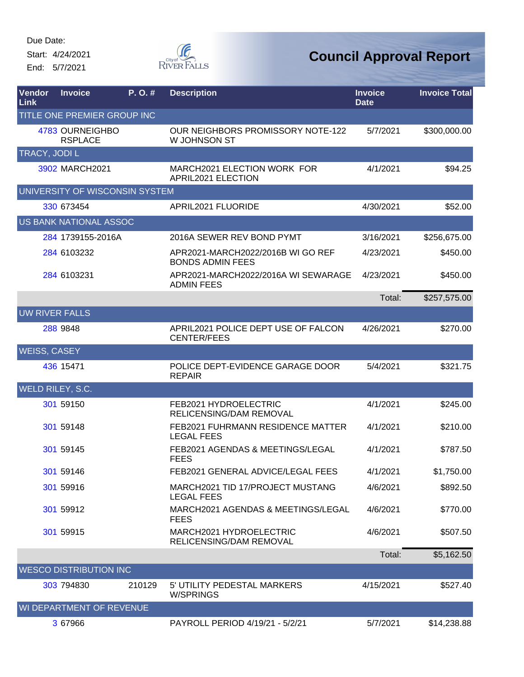Start: 4/24/2021 End: 5/7/2021



| <b>Vendor</b><br>Link   | <b>Invoice</b>                    | $P. O.$ # | <b>Description</b>                                           | <b>Invoice</b><br><b>Date</b> | <b>Invoice Total</b> |
|-------------------------|-----------------------------------|-----------|--------------------------------------------------------------|-------------------------------|----------------------|
|                         | TITLE ONE PREMIER GROUP INC       |           |                                                              |                               |                      |
|                         | 4783 OURNEIGHBO<br><b>RSPLACE</b> |           | OUR NEIGHBORS PROMISSORY NOTE-122<br>W JOHNSON ST            | 5/7/2021                      | \$300,000.00         |
| TRACY, JODI L           |                                   |           |                                                              |                               |                      |
|                         | 3902 MARCH2021                    |           | MARCH2021 ELECTION WORK FOR<br>APRIL2021 ELECTION            | 4/1/2021                      | \$94.25              |
|                         | UNIVERSITY OF WISCONSIN SYSTEM    |           |                                                              |                               |                      |
|                         | 330 673454                        |           | APRIL2021 FLUORIDE                                           | 4/30/2021                     | \$52.00              |
|                         | <b>US BANK NATIONAL ASSOC</b>     |           |                                                              |                               |                      |
|                         | 284 1739155-2016A                 |           | 2016A SEWER REV BOND PYMT                                    | 3/16/2021                     | \$256,675.00         |
|                         | 284 6103232                       |           | APR2021-MARCH2022/2016B WI GO REF<br><b>BONDS ADMIN FEES</b> | 4/23/2021                     | \$450.00             |
|                         | 284 6103231                       |           | APR2021-MARCH2022/2016A WI SEWARAGE<br><b>ADMIN FEES</b>     | 4/23/2021                     | \$450.00             |
|                         |                                   |           |                                                              | Total:                        | \$257,575.00         |
| <b>UW RIVER FALLS</b>   |                                   |           |                                                              |                               |                      |
|                         | 288 9848                          |           | APRIL2021 POLICE DEPT USE OF FALCON<br><b>CENTER/FEES</b>    | 4/26/2021                     | \$270.00             |
| WEISS, CASEY            |                                   |           |                                                              |                               |                      |
|                         | 436 15471                         |           | POLICE DEPT-EVIDENCE GARAGE DOOR<br><b>REPAIR</b>            | 5/4/2021                      | \$321.75             |
| <b>WELD RILEY, S.C.</b> |                                   |           |                                                              |                               |                      |
|                         | 301 59150                         |           | FEB2021 HYDROELECTRIC<br>RELICENSING/DAM REMOVAL             | 4/1/2021                      | \$245.00             |
|                         | 301 59148                         |           | FEB2021 FUHRMANN RESIDENCE MATTER<br><b>LEGAL FEES</b>       | 4/1/2021                      | \$210.00             |
|                         | 301 59145                         |           | FEB2021 AGENDAS & MEETINGS/LEGAL<br><b>FEES</b>              | 4/1/2021                      | \$787.50             |
|                         | 301 59146                         |           | FEB2021 GENERAL ADVICE/LEGAL FEES                            | 4/1/2021                      | \$1,750.00           |
|                         | 301 59916                         |           | MARCH2021 TID 17/PROJECT MUSTANG<br><b>LEGAL FEES</b>        | 4/6/2021                      | \$892.50             |
|                         | 301 59912                         |           | MARCH2021 AGENDAS & MEETINGS/LEGAL<br><b>FEES</b>            | 4/6/2021                      | \$770.00             |
|                         | 301 59915                         |           | MARCH2021 HYDROELECTRIC<br>RELICENSING/DAM REMOVAL           | 4/6/2021                      | \$507.50             |
|                         |                                   |           |                                                              | Total:                        | \$5,162.50           |
|                         | <b>WESCO DISTRIBUTION INC</b>     |           |                                                              |                               |                      |
|                         | 303 794830                        | 210129    | 5' UTILITY PEDESTAL MARKERS<br><b>W/SPRINGS</b>              | 4/15/2021                     | \$527.40             |
|                         | WI DEPARTMENT OF REVENUE          |           |                                                              |                               |                      |
|                         | 3 67966                           |           | PAYROLL PERIOD 4/19/21 - 5/2/21                              | 5/7/2021                      | \$14,238.88          |